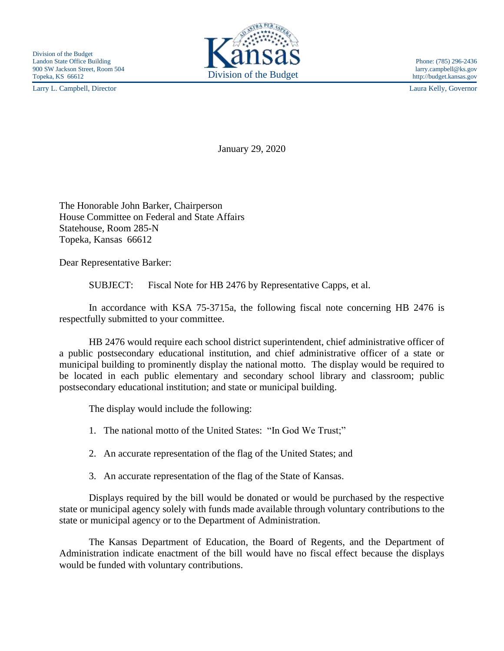Larry L. Campbell, Director Laura Kelly, Governor



http://budget.kansas.gov

January 29, 2020

The Honorable John Barker, Chairperson House Committee on Federal and State Affairs Statehouse, Room 285-N Topeka, Kansas 66612

Dear Representative Barker:

SUBJECT: Fiscal Note for HB 2476 by Representative Capps, et al.

In accordance with KSA 75-3715a, the following fiscal note concerning HB 2476 is respectfully submitted to your committee.

HB 2476 would require each school district superintendent, chief administrative officer of a public postsecondary educational institution, and chief administrative officer of a state or municipal building to prominently display the national motto. The display would be required to be located in each public elementary and secondary school library and classroom; public postsecondary educational institution; and state or municipal building.

The display would include the following:

- 1. The national motto of the United States: "In God We Trust;"
- 2. An accurate representation of the flag of the United States; and
- 3. An accurate representation of the flag of the State of Kansas.

Displays required by the bill would be donated or would be purchased by the respective state or municipal agency solely with funds made available through voluntary contributions to the state or municipal agency or to the Department of Administration.

The Kansas Department of Education, the Board of Regents, and the Department of Administration indicate enactment of the bill would have no fiscal effect because the displays would be funded with voluntary contributions.